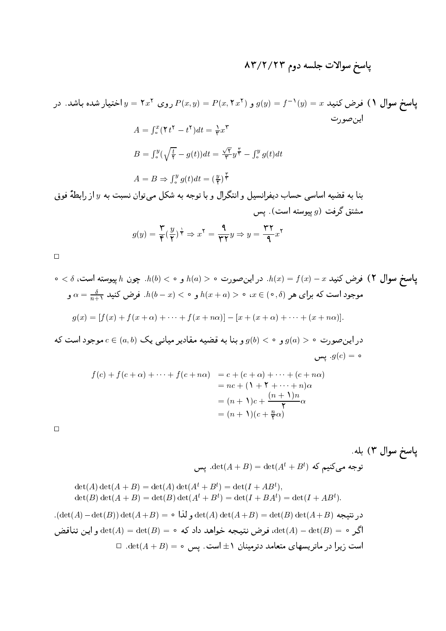## پاسخ سوالات جلسه دوم ۸۳/۲/۲۳

پاسخ سوال ۱) فرض کنید  $x = f^{-1}(y) = g(y) = P(x, \tau x^{\tau})$  و  $P(x, y) = P(x, \tau x^{\tau})$  روی  $y = \tau x^{\tau}$  اختیار شده باشد. در اين صورت  $A = \int_{0}^{x} (\mathbf{Y}t^{\mathbf{Y}} - t^{\mathbf{Y}})dt = \frac{1}{\mathbf{Y}}x^{\mathbf{Y}}$  $B = \int_{\circ}^{y} (\sqrt{\frac{t}{\mathsf{y}}} - g(t)) dt = \frac{\sqrt{\mathsf{y}}}{\mathsf{y}} y + \int_{\circ}^{y} g(t) dt$  $A = B \Rightarrow \int_{0}^{y} g(t) dt = \left(\frac{y}{r}\right)^{\frac{1}{\gamma}}$ بنا به قضیه اساسی حساب دیفرانسیل و انتگرال و با توجه به شکل میتوان نسبت به  $y$  از رابطهٔ فوق مشتق گرفت  $g$  پیوسته است). پس  $g(y) = \frac{\mathsf{r}}{\mathsf{r}} \left(\frac{y}{\mathsf{r}}\right)^{\frac{1}{\mathsf{r}}} \Rightarrow x^{\mathsf{r}} = \frac{\mathsf{q}}{\mathsf{r} \cdot \mathsf{r}} y \Rightarrow y = \frac{\mathsf{r} \cdot \mathsf{r}}{\mathsf{q}} x^{\mathsf{r}}$  $\Box$ 

$$
h(b) < \circ
$$
 ویا 1.  $(b) < \circ$  ویا 2.  $h(x) = f(x) - x$  فرض کنید 1.  $h(x) = \frac{\delta}{n+1}$ .  $h(b-x) < \circ$  ویه 1.  $h(x+a) > \circ$  2.  $x \in (\circ, \delta)$  ویه 2.  $h(x-a) = \frac{\delta}{n+1}$ .  $h(b-x) < \circ$  3.  $h(x+a) = \frac{\delta}{n+1}$ .  $g(x) = [f(x) + f(x+\alpha) + \cdots + f(x+n\alpha)] - [x + (x+\alpha) + \cdots + (x+n\alpha)].$ 

در این صورت ہ $(a) > g$  و ہ $( b ) < g$  و بنا به فضیه مفادیر میانبی یک ( c  $\in$   $a,b)$  موجود  $g(c) = 0$ . يس

$$
f(c) + f(c + \alpha) + \dots + f(c + n\alpha) = c + (c + \alpha) + \dots + (c + n\alpha)
$$
  
= nc + (1 + 1 + \dots + n)\alpha  
= (n + 1)c + \frac{(n + 1)n}{1} \alpha  
= (n + 1)(c + \frac{n}{1})\alpha

 $\Box$ 

پاسخ سوال ۳) بله.  
\n
$$
\det(A) \det(A + B) = \det(A) \det(A^t + B^t) = \det(A^t + B^t),
$$
\n
$$
\det(B) \det(A + B) = \det(B) \det(A^t + B^t) = \det(I + AB^t),
$$
\n
$$
\det(B) \det(A + B) = \det(B) \det(A^t + B^t) = \det(I + BA^t) = \det(I + AB^t).
$$
\n
$$
(\det(A) - \det(B)) \det(A + B) = \det(A) \det(A + B) = \det(B) \det(A + B) = \det(A) - \det(B) = \det(A) - \det(B) = 0.
$$
\n
$$
\Box \det(A + B) = \Box \Box \det(A + B) = \Box \Box \det(A + B) = \Box \Box \det(A + B) = 0.
$$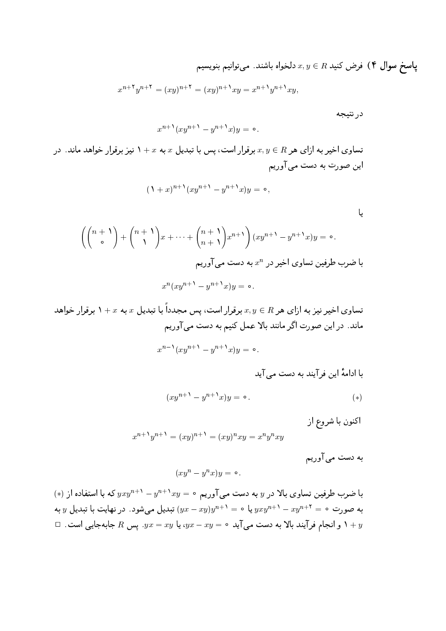پاسخ سوال ۴) فرض کنید  $x,y\in R$  دلخواه باشند. میتوانیم بنویسیم

$$
x^{n+\tau}y^{n+\tau} = (xy)^{n+\tau} = (xy)^{n+\tau}xy = x^{n+\tau}y^{n+\tau}xy,
$$

در نتيجه

 $\mathsf{L}$ 

$$
x^{n+\lambda}(xy^{n+\lambda}-y^{n+\lambda}x)y=\circ.
$$

تساوی اخیر به ازای هر  $R$  برقرار است، پس با تبدیل  $x$  به  $x+Y$  نیز برقرار خواهد ماند. در این صورت به دست می آوریم

$$
(\Lambda + x)^{n+\lambda} (xy^{n+\lambda} - y^{n+\lambda} x) y = \circ,
$$

$$
\left(\binom{n+1}{\circ} + \binom{n+1}{1}x + \dots + \binom{n+1}{n+1}x^{n+1}\right)(xy^{n+1} - y^{n+1}x)y = \circ.
$$
\n
$$
x^{n} (xy^{n+1} - y^{n+1}x)y = 0.
$$

تساوی اخیر نیز به ازای هر  $x,y\in R$  برقرار است، پس مجدداً با تبدیل  $x$  به  $x+x$  برقرار خواهد ماند. در این صورت اگر مانند بالا عمل کنیم به دست میآوریم  $x^{n-\lambda}(xy^{n+\lambda}-y^{n+\lambda}x)y=\circ.$ 

با ادامهٔ این فر آیند به دست می آید

$$
(xy^{n+1} - y^{n+1}x)y = \circ.
$$
 (\*)

اکنون با شروع از

$$
x^{n+1}y^{n+1} = (xy)^{n+1} = (xy)^n xy = x^n y^n xy
$$

به دست می آوریم

$$
(xy^n - y^n x)y = \circ
$$

 $\phi(x)$ با ضرب طرفین تساوی بالا در  $y$  به دست می $\tilde{f}$ وریم  $y = x y^{n+1} - y^{n+1}$  که با استفاده از به صورت  $y^* - x y^{n+1} - y^2 = 1$  یا  $y^* - y^* = 1$  تبدیل میشود. در نهایت با تبدیل  $y$  به  $\Box$  و انجام فرآیند بالا به دست می آید  $xy=yx-y$ ، یا  $yx=xy$ . پس  $R$  جابهجایی است  $y$